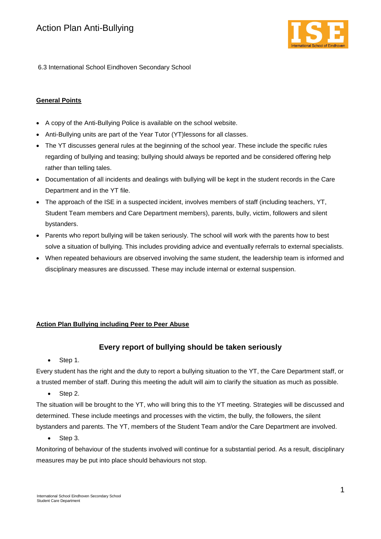

6.3 International School Eindhoven Secondary School

### **General Points**

- A copy of the Anti-Bullying Police is available on the school website.
- Anti-Bullying units are part of the Year Tutor (YT)lessons for all classes.
- The YT discusses general rules at the beginning of the school year. These include the specific rules regarding of bullying and teasing; bullying should always be reported and be considered offering help rather than telling tales.
- Documentation of all incidents and dealings with bullying will be kept in the student records in the Care Department and in the YT file.
- The approach of the ISE in a suspected incident, involves members of staff (including teachers, YT, Student Team members and Care Department members), parents, bully, victim, followers and silent bystanders.
- Parents who report bullying will be taken seriously. The school will work with the parents how to best solve a situation of bullying. This includes providing advice and eventually referrals to external specialists.
- When repeated behaviours are observed involving the same student, the leadership team is informed and disciplinary measures are discussed. These may include internal or external suspension.

# **Action Plan Bullying including Peer to Peer Abuse**

# **Every report of bullying should be taken seriously**

• Step 1.

Every student has the right and the duty to report a bullying situation to the YT, the Care Department staff, or a trusted member of staff. During this meeting the adult will aim to clarify the situation as much as possible.

• Step 2.

The situation will be brought to the YT, who will bring this to the YT meeting. Strategies will be discussed and determined. These include meetings and processes with the victim, the bully, the followers, the silent bystanders and parents. The YT, members of the Student Team and/or the Care Department are involved.

• Step 3.

Monitoring of behaviour of the students involved will continue for a substantial period. As a result, disciplinary measures may be put into place should behaviours not stop.